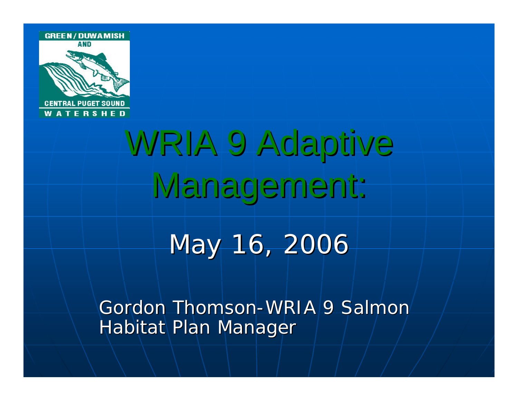

# WRIA 9 Adaptive Management:

#### May 16, 2006

Gordon Thomson-WRIA 9 Salmon Habitat Plan Manager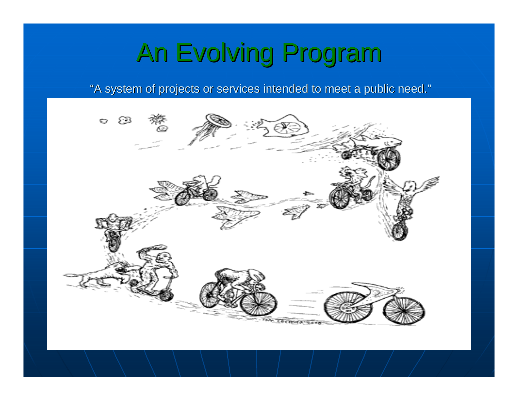### An Evolving Program An Evolving Program

"A system of projects or services intended to meet a public need."

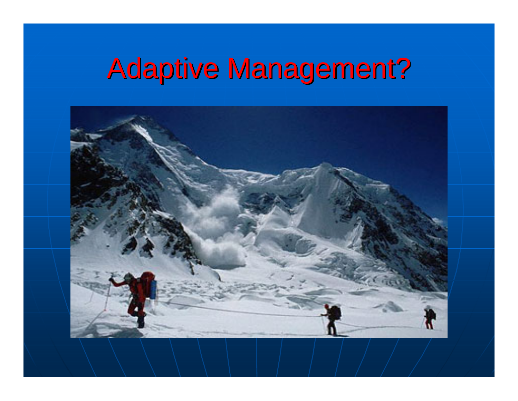# **Adaptive Management?**

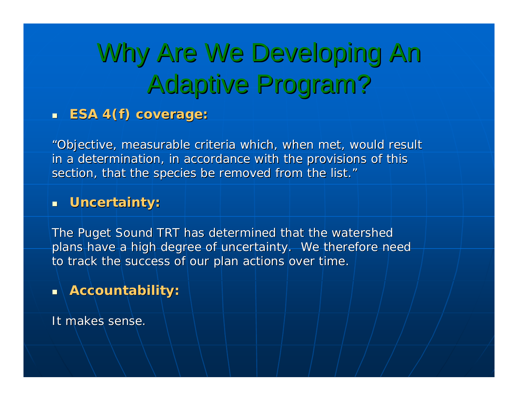# Why Are We Developing An Adaptive Program? Adaptive Program?

#### **ESA 4(f) coverage: ESA 4(f) coverage:**

"Objective, measurable criteria which, when met, would result in a determination, in accordance with the provisions of this section, that the species be removed from the list."

#### $\blacksquare$ **Uncertainty: Uncertainty:**

The Puget Sound TRT has determined that the watershed plans have a high degree of uncertainty. We therefore need to track the success of our plan actions over time.

#### $\blacksquare$ **Accountability: Accountability:**

It makes sense.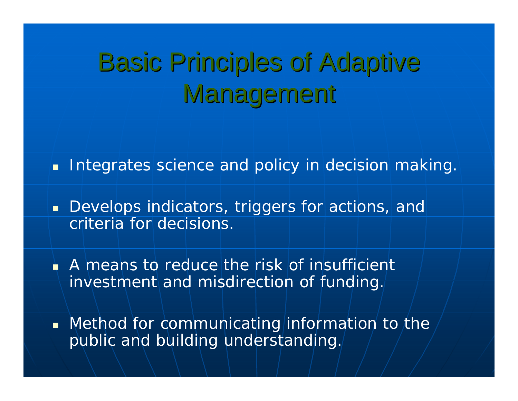## **Basic Principles of Adaptive** Management

**Integrates science and policy in decision making.** 

 $\blacksquare$  Develops indicators, triggers for actions, and criteria for decisions.

 A means to reduce the risk of insufficient investment and misdirection of funding.

 $\blacksquare$  Method for communicating information to the public and building understanding.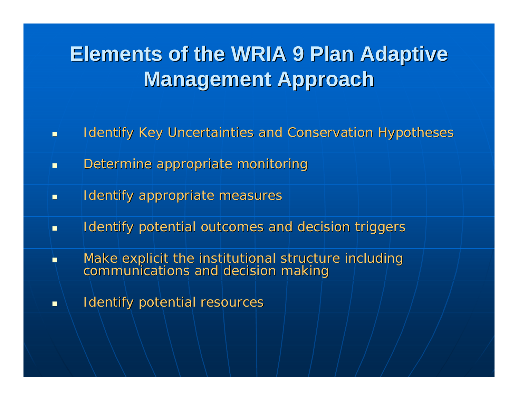#### **Elements of the WRIA 9 Plan Adaptive Elements of the WRIA 9 Plan Adaptive Management Approach Management Approach**

- $\blacksquare$ Identify Key Uncertainties and Conservation Hypotheses
- $\blacksquare$ Determine appropriate monitoring
- $\blacksquare$ Identify appropriate measures
- $\blacksquare$ Identify potential outcomes and decision triggers
- È Make explicit the institutional structure including communications and decision making
- $\blacksquare$ Identify potential resources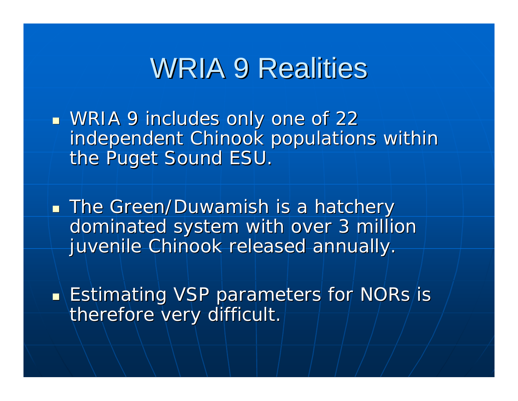#### **WRIA 9 Realities**

 $\mathbb{R}^2$  $\blacksquare$  WRIA 9 includes only one of 22  $\blacksquare$ independent Chinook populations within the Puget Sound ESU.

 $\mathbb{R}^2$ **The Green/Duwamish is a hatchery** dominated system with over 3 million juvenile Chinook released annually.

 $\mathbb{R}^2$  $\blacksquare\backslash$  Estimating VSP parameters for NORs/is therefore very difficult.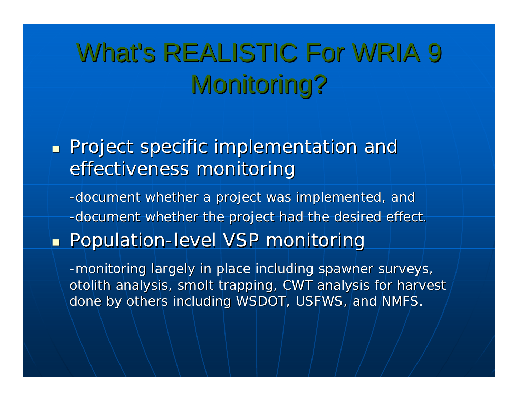# What's REALISTIC For WRIA 9 Monitoring?

 $\mathbb{R}^2$ **Project specific implementation and Project specific implementation and** effectiveness monitoring

-document whether a project was implemented, and -document whether the project had the desired effect. **- Population-level VSP monitoring** 

-monitoring largely in place including spawner surveys, otolith analysis, smolt trapping, CWT analysis for harvest done by others including WSDOT, USFWS, and NMFS.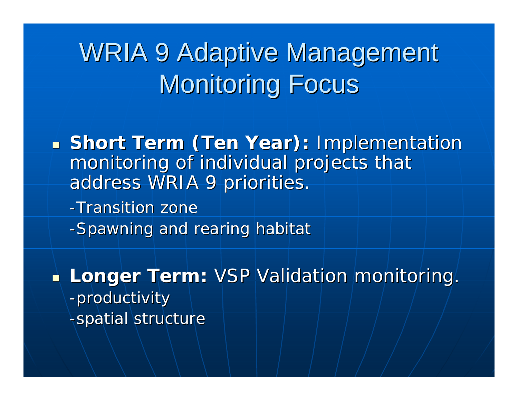### WRIA 9 Adaptive Management **Monitoring Focus**

**Short Term (Ten Year):** Implementation monitoring of individual projects that address WRIA 9 priorities.

-Transition zone

-Spawning and rearing habitat

 $\mathbb{R}^2$ **Longer Term:** <code>VSP</code> <code>Validation</code> monitoring. -productivity -spatial structure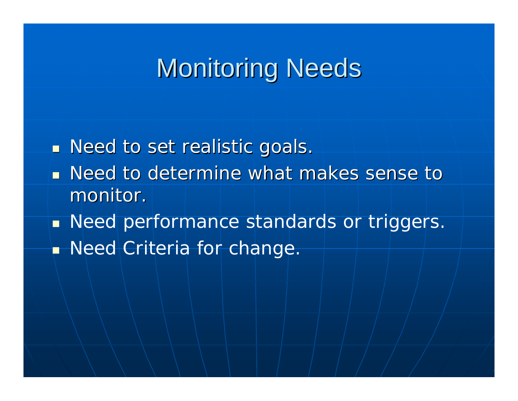#### **Monitoring Needs**

 $\mathbb{R}^2$  $\blacksquare$  Need to set realistic goals.

- **n** Need to determine what makes sense to monitor.
- **Need performance standards or triggers. Need Criteria for change.**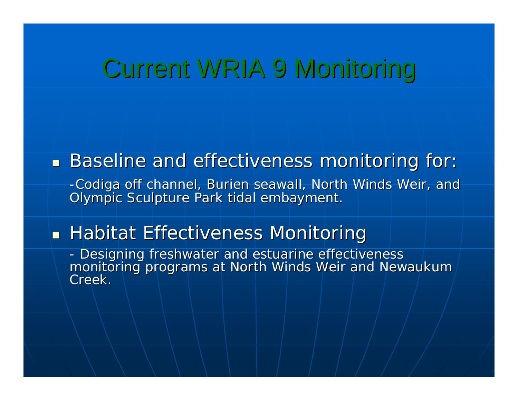#### Current WRIA 9 Monitoring

#### $\mathbb{R}^2$ **Baseline and effectiveness monitoring for:**

-Codiga off channel, Burien seawall, North Winds Weir, and Olympic Sculpture Park tidal embayment.

#### $\mathbb{R}^2$  $\blacksquare$  Habitat Effectiveness Monitoring

- Designing freshwater and estuarine effectiveness monitoring programs at North Winds Weir and Newaukum<br>Creek.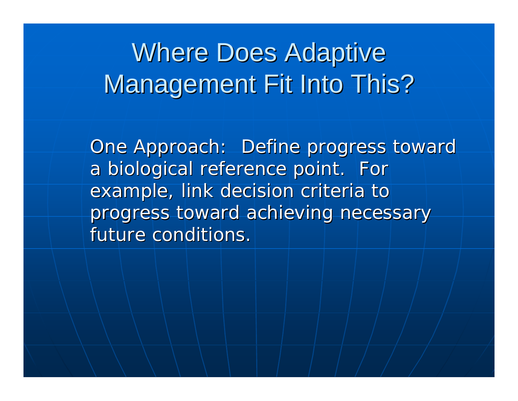### **Where Does Adaptive** Management Fit Into This?

One Approach: Define progress toward a biological reference point. For example, link decision criteria to progress toward achieving necessary future conditions.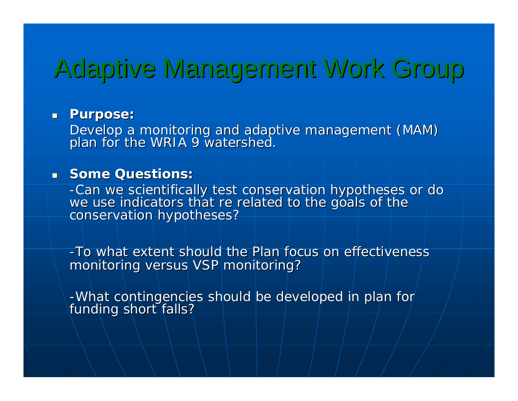#### Adaptive Management Work Group Adaptive Management Work Group

#### **Purpose: Purpose:**

Develop a monitoring and adaptive management (MAM) plan for the WRIA 9 watershed.

#### **Some Questions: Some Questions:**

-Can we scientifically test conservation hypotheses or do<br>we use indicators that re related to the goals of the<br>conservation hypotheses?

-To what extent should the Plan focus on effectiveness monitoring versus VSP monitoring?

-What contingencies should be developed in plan for<br>funding short falls?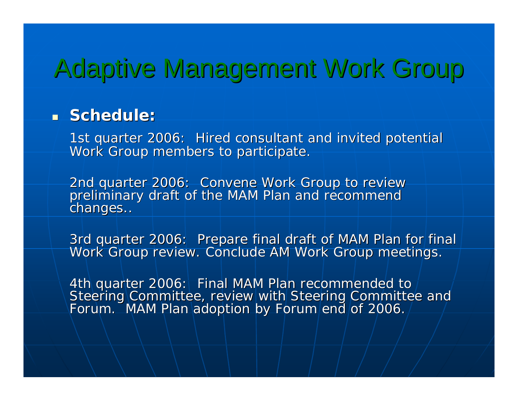### Adaptive Management Work Group

#### **Schedule: Schedule:**

1st quarter 2006: Hired consultant and invited potential Work Group members to participate.

2nd quarter 2006: Convene Work Group to review<br>preliminary draft of the MAM Plan and recommend<br>changes..

3rd quarter 2006: Prepare final draft of MAM Plan for final Work Group review. Conclude AM Work Group meetings.

4th quarter 2006: Final MAM Plan recommended to<br>Steering Committee, review with Steering Committee and<br>Forum. MAM Plan adoption by Forum end of 2006.